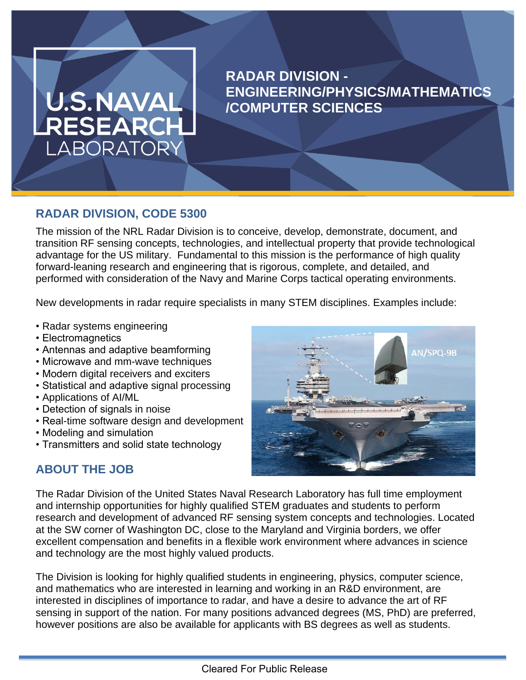# U.S.NAVAL RESEARCH LABORATORY

# **RADAR DIVISION - ENGINEERING/PHYSICS/MATHEMATICS /COMPUTER SCIENCES**

# **RADAR DIVISION, CODE 5300**

The mission of the NRL Radar Division is to conceive, develop, demonstrate, document, and transition RF sensing concepts, technologies, and intellectual property that provide technological advantage for the US military. Fundamental to this mission is the performance of high quality forward-leaning research and engineering that is rigorous, complete, and detailed, and performed with consideration of the Navy and Marine Corps tactical operating environments.

**JOB TITLE GOES HERE**

New developments in radar require specialists in many STEM disciplines. Examples include:

- Radar systems engineering
- Electromagnetics
- Antennas and adaptive beamforming
- Microwave and mm-wave techniques
- Modern digital receivers and exciters
- Statistical and adaptive signal processing
- Applications of AI/ML
- Detection of signals in noise
- Real-time software design and development
- Modeling and simulation
- Transmitters and solid state technology



# **ABOUT THE JOB**

The Radar Division of the United States Naval Research Laboratory has full time employment and internship opportunities for highly qualified STEM graduates and students to perform research and development of advanced RF sensing system concepts and technologies. Located at the SW corner of Washington DC, close to the Maryland and Virginia borders, we offer excellent compensation and benefits in a flexible work environment where advances in science and technology are the most highly valued products.

The Division is looking for highly qualified students in engineering, physics, computer science, and mathematics who are interested in learning and working in an R&D environment, are interested in disciplines of importance to radar, and have a desire to advance the art of RF sensing in support of the nation. For many positions advanced degrees (MS, PhD) are preferred, however positions are also be available for applicants with BS degrees as well as students.